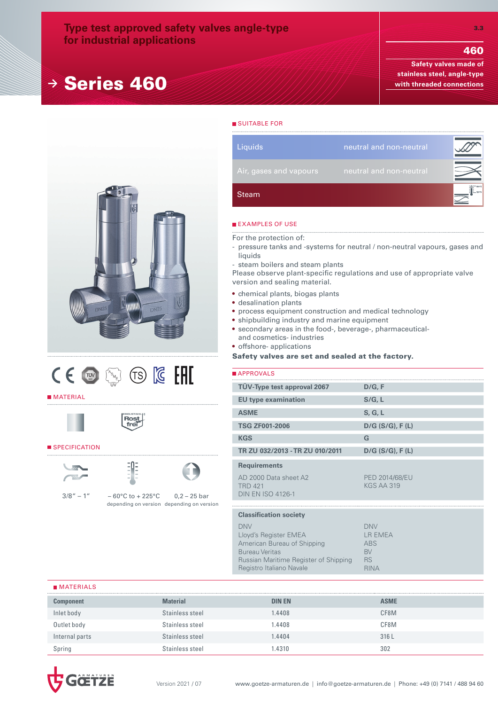# **Type test approved safety valves angle-type for industrial applications**

# **<sup>→</sup>** Series 460

460

**Safety valves made of stainless steel, angle-type with threaded connections**





#### **MATERIAL**





### SPECIFICATION





 $3/8'' - 1'' - 60^{\circ}$ C to + 225°C depending on version depending on version  $0,2 - 25$  bar

Steam **Liquids** neutral and non-neutral

# **EXAMPLES OF USE**

**SUITABLE FOR** 

For the protection of:

- pressure tanks and -systems for neutral / non-neutral vapours, gases and liquids
- steam boilers and steam plants

Please observe plant-specific regulations and use of appropriate valve version and sealing material.

- chemical plants, biogas plants
- desalination plants
- process equipment construction and medical technology
- shipbuilding industry and marine equipment
- secondary areas in the food-, beverage-, pharmaceuticaland cosmetics- industries
- offshore- applications

#### Safety valves are set and sealed at the factory.

| APPROVALS                                                           |                                            |
|---------------------------------------------------------------------|--------------------------------------------|
| TÜV-Type test approval 2067                                         | D/G, F                                     |
| <b>EU type examination</b>                                          | S/G, L                                     |
| <b>ASME</b>                                                         | S, G, L                                    |
| <b>TSG ZF001-2006</b>                                               | $D/G$ (S/G), F(L)                          |
| <b>KGS</b>                                                          | G                                          |
| TR ZU 032/2013 - TR ZU 010/2011                                     | $D/G$ (S/G), F(L)                          |
| <b>Requirements</b>                                                 |                                            |
| AD 2000 Data sheet A2<br><b>TRD 421</b><br><b>DIN EN ISO 4126-1</b> | <b>PED 2014/68/EU</b><br><b>KGS AA 319</b> |
|                                                                     |                                            |
| <b>Classification society</b>                                       |                                            |
| <b>DNV</b><br>Lloyd's Register EMEA                                 | <b>DNV</b><br>LR EMEA                      |

American Bureau of Shipping Bureau Veritas Russian Maritime Register of Shipping Registro Italiano Navale ABS BV RS RINA

#### **MATERIALS**

| <b>Component</b> | Material        | <b>DIN EN</b> | <b>ASME</b> |
|------------------|-----------------|---------------|-------------|
| Inlet body       | Stainless steel | 1.4408        | CF8M        |
| Outlet body      | Stainless steel | 1.4408        | CF8M        |
| Internal parts   | Stainless steel | 1.4404        | 316L        |
| Spring           | Stainless steel | .4310         | 302         |



3.3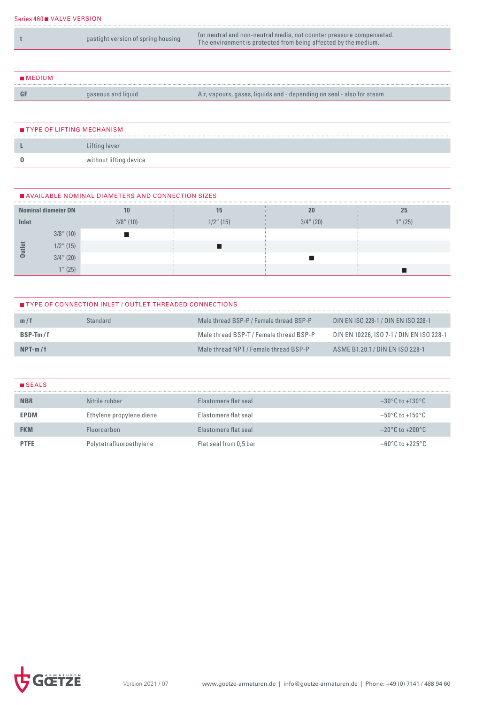| Series 460 VALVE VERSION |                                    |                                                                                                                                         |
|--------------------------|------------------------------------|-----------------------------------------------------------------------------------------------------------------------------------------|
|                          | gastight version of spring housing | for neutral and non-neutral media, not counter pressure compensated.<br>The environment is protected from being affected by the medium. |

| MEDIUM |                    |                                                                       |
|--------|--------------------|-----------------------------------------------------------------------|
|        | gaseous and liquid | Air, vapours, gases, liquids and - depending on seal - also for steam |

| TYPE OF LIFTING MECHANISM |                        |
|---------------------------|------------------------|
|                           | Lifting lever          |
|                           | without lifting device |

|       | AVAILABLE NOMINAL DIAMETERS AND CONNECTION SIZES |              |              |              |      |  |  |  |  |  |  |  |
|-------|--------------------------------------------------|--------------|--------------|--------------|------|--|--|--|--|--|--|--|
|       | <b>Nominal diameter DN</b>                       |              |              | 20           | 25   |  |  |  |  |  |  |  |
| Inlet |                                                  | $3/8$ " (10) | $1/2$ " (15) | $3/4$ " (20) | (25) |  |  |  |  |  |  |  |
|       | $3/8$ " (10)                                     |              |              |              |      |  |  |  |  |  |  |  |
|       | $1/2$ " (15)                                     |              |              |              |      |  |  |  |  |  |  |  |
|       | $3/4$ " (20)                                     |              |              |              |      |  |  |  |  |  |  |  |
|       | $4\pi$ (25)                                      |              |              |              |      |  |  |  |  |  |  |  |

| TYPE OF CONNECTION INLET / OUTLET THREADED CONNECTIONS |          |                                         |                                          |  |  |  |  |  |  |  |
|--------------------------------------------------------|----------|-----------------------------------------|------------------------------------------|--|--|--|--|--|--|--|
| m/t                                                    | Standard | Male thread BSP-P / Female thread BSP-P | DIN EN ISO 228-1 / DIN EN ISO 228-1      |  |  |  |  |  |  |  |
| $BSP-Tm/f$                                             |          | Male thread BSP-T / Female thread BSP-P | DIN EN 10226, ISO 7-1 / DIN EN ISO 228-1 |  |  |  |  |  |  |  |
| $NPT-m/f$                                              |          | Male thread NPT / Female thread BSP-P   | ASME B1.20.1 / DIN EN ISO 228-1          |  |  |  |  |  |  |  |

| <b>B</b> SEALS |                          |                        |                                     |
|----------------|--------------------------|------------------------|-------------------------------------|
| <b>NBR</b>     | Nitrile rubber           | Elastomere flat seal   | $-30^{\circ}$ C to $+130^{\circ}$ C |
| <b>EPDM</b>    | Ethylene propylene diene | Flastomere flat seal   | $-50^{\circ}$ C to $+150^{\circ}$ C |
| <b>FKM</b>     | <b>Fluorcarbon</b>       | Elastomere flat seal   | $-20^{\circ}$ C to $+200^{\circ}$ C |
| <b>PTFE</b>    | Polytetrafluoroethylene  | Flat seal from 0,5 bar | $-60\degree$ C to $+225\degree$ C   |

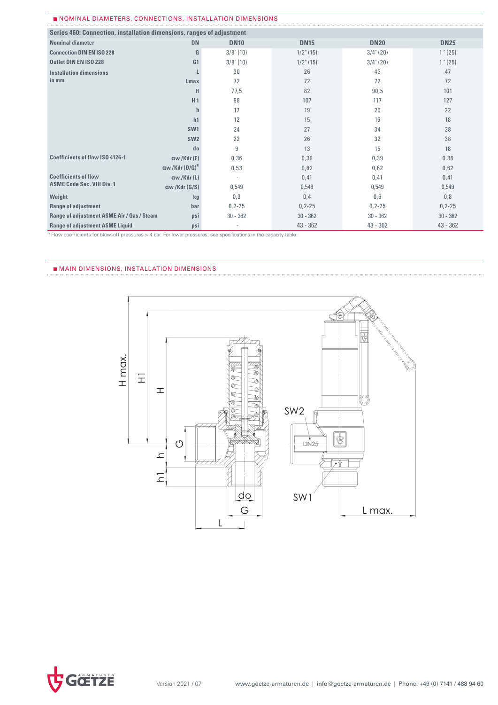#### NOMINAL DIAMETERS, CONNECTIONS, INSTALLATION DIMENSIONS

| Series 460: Connection, installation dimensions, ranges of adjustment |                        |              |              |              |             |  |  |  |  |
|-----------------------------------------------------------------------|------------------------|--------------|--------------|--------------|-------------|--|--|--|--|
| <b>Nominal diameter</b>                                               | <b>DN</b>              | <b>DN10</b>  | <b>DN15</b>  | <b>DN20</b>  | <b>DN25</b> |  |  |  |  |
| <b>Connection DIN EN ISO 228</b>                                      | G                      | $3/8$ " (10) | $1/2$ " (15) | $3/4$ " (20) | $1$ " (25)  |  |  |  |  |
| Outlet DIN EN ISO 228                                                 | G <sub>1</sub>         | $3/8$ " (10) | $1/2$ " (15) | $3/4$ " (20) | $1$ " (25)  |  |  |  |  |
| <b>Installation dimensions</b>                                        |                        | 30           | 26           | 43           | 47          |  |  |  |  |
| in mm                                                                 | Lmax                   | 72           | 72           | 72           | 72          |  |  |  |  |
|                                                                       | н                      | 77,5         | 82           | 90,5         | 101         |  |  |  |  |
|                                                                       | H <sub>1</sub>         | 98           | 107          | 117          | 127         |  |  |  |  |
|                                                                       | h                      | 17           | 19           | 20           | 22          |  |  |  |  |
|                                                                       | h1                     | 12           | 15           | 16           | 18          |  |  |  |  |
|                                                                       | SW <sub>1</sub>        | 24           | 27           | 34           | 38          |  |  |  |  |
|                                                                       | SW <sub>2</sub>        | 22           | 26           | 32           | 38          |  |  |  |  |
|                                                                       | do                     | 9            | 13           | 15           | 18          |  |  |  |  |
| <b>Coefficients of flow ISO 4126-1</b>                                | aw/Kdr(F)              | 0,36         | 0,39         | 0,39         | 0,36        |  |  |  |  |
|                                                                       | $\alpha$ w /Kdr (D/G)" | 0,53         | 0,62         | 0,62         | 0,62        |  |  |  |  |
| <b>Coefficients of flow</b>                                           | aw/Kdr(L)              |              | 0,41         | 0,41         | 0,41        |  |  |  |  |
| <b>ASME Code Sec. VIII Div. 1</b>                                     | $\alpha w$ /Kdr (G/S)  | 0,549        | 0,549        | 0,549        | 0,549       |  |  |  |  |
| Weight                                                                | kg                     | 0,3          | 0,4          | 0,6          | 0,8         |  |  |  |  |
| <b>Range of adjustment</b>                                            | bar                    | $0, 2 - 25$  | $0, 2 - 25$  | $0, 2 - 25$  | $0, 2 - 25$ |  |  |  |  |
| Range of adjustment ASME Air / Gas / Steam                            | psi                    | $30 - 362$   | $30 - 362$   | $30 - 362$   | $30 - 362$  |  |  |  |  |
| <b>Range of adjustment ASME Liquid</b>                                | psi                    | ۰            | $43 - 362$   | $43 - 362$   | $43 - 362$  |  |  |  |  |

<sup>1)</sup> Flow coefficients for blow-off pressures > 4 bar. For lower pressures, see specifications in the capacity table.

# MAIN DIMENSIONS, INSTALLATION DIMENSIONS



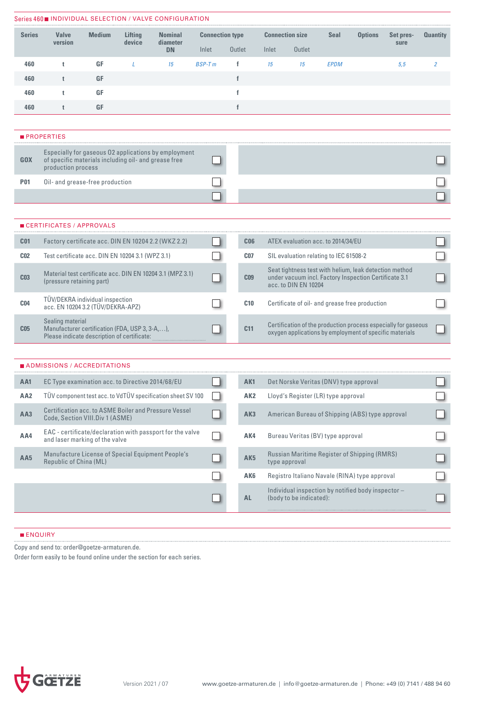|                                                                     |                                                                                                                   |               |                   | Series 460■ INDIVIDUAL SELECTION / VALVE CONFIGURATION      |                                 |              |                 |                                                                                                                                         |                                        |             |                                                    |                   |                 |  |
|---------------------------------------------------------------------|-------------------------------------------------------------------------------------------------------------------|---------------|-------------------|-------------------------------------------------------------|---------------------------------|--------------|-----------------|-----------------------------------------------------------------------------------------------------------------------------------------|----------------------------------------|-------------|----------------------------------------------------|-------------------|-----------------|--|
| <b>Series</b>                                                       | <b>Valve</b><br>version                                                                                           | <b>Medium</b> | Lifting<br>device | <b>Nominal</b><br>diameter<br><b>DN</b>                     | <b>Connection type</b><br>Inlet | Outlet       |                 | Inlet                                                                                                                                   | <b>Connection size</b><br>Outlet       | <b>Seal</b> | <b>Options</b>                                     | Set pres-<br>sure | <b>Quantity</b> |  |
| 460                                                                 | t                                                                                                                 | GF            | L                 | 15                                                          | $BSP-Tm$                        | f            |                 | 15                                                                                                                                      | 15                                     | <b>EPDM</b> |                                                    | 5,5               | 2               |  |
| 460                                                                 | t                                                                                                                 | GF            |                   |                                                             |                                 | $\mathbf f$  |                 |                                                                                                                                         |                                        |             |                                                    |                   |                 |  |
| 460                                                                 | t                                                                                                                 | GF            |                   |                                                             |                                 | $\mathbf{f}$ |                 |                                                                                                                                         |                                        |             |                                                    |                   |                 |  |
| 460                                                                 | t                                                                                                                 | GF            |                   |                                                             |                                 | $\mathbf{f}$ |                 |                                                                                                                                         |                                        |             |                                                    |                   |                 |  |
|                                                                     |                                                                                                                   |               |                   |                                                             |                                 |              |                 |                                                                                                                                         |                                        |             |                                                    |                   |                 |  |
|                                                                     | <b>PROPERTIES</b>                                                                                                 |               |                   |                                                             |                                 |              |                 |                                                                                                                                         |                                        |             |                                                    |                   |                 |  |
| <b>GOX</b>                                                          | of specific materials including oil- and grease free<br>production process                                        |               |                   | Especially for gaseous 02 applications by employment        |                                 |              |                 |                                                                                                                                         |                                        |             |                                                    |                   |                 |  |
| <b>P01</b>                                                          | Oil- and grease-free production                                                                                   |               |                   |                                                             |                                 |              |                 |                                                                                                                                         |                                        |             |                                                    |                   |                 |  |
|                                                                     |                                                                                                                   |               |                   |                                                             |                                 |              |                 |                                                                                                                                         |                                        |             |                                                    |                   |                 |  |
|                                                                     |                                                                                                                   |               |                   |                                                             |                                 |              |                 |                                                                                                                                         |                                        |             |                                                    |                   |                 |  |
|                                                                     | ■ CERTIFICATES / APPROVALS                                                                                        |               |                   |                                                             |                                 |              |                 |                                                                                                                                         |                                        |             |                                                    |                   |                 |  |
| C <sub>01</sub>                                                     |                                                                                                                   |               |                   | Factory certificate acc. DIN EN 10204 2.2 (WKZ 2.2)         |                                 |              | C <sub>06</sub> |                                                                                                                                         | ATEX evaluation acc. to 2014/34/EU     |             |                                                    |                   |                 |  |
| C <sub>02</sub><br>Test certificate acc. DIN EN 10204 3.1 (WPZ 3.1) |                                                                                                                   |               |                   |                                                             |                                 |              | C <sub>07</sub> |                                                                                                                                         | SIL evaluation relating to IEC 61508-2 |             |                                                    |                   |                 |  |
| C <sub>03</sub>                                                     | Material test certificate acc. DIN EN 10204 3.1 (MPZ 3.1)<br>(pressure retaining part)                            |               |                   |                                                             |                                 |              | C <sub>09</sub> | Seat tightness test with helium, leak detection method<br>under vacuum incl. Factory Inspection Certificate 3.1<br>acc. to DIN EN 10204 |                                        |             |                                                    |                   |                 |  |
| <b>C04</b>                                                          | TÜV/DEKRA individual inspection<br>acc. EN 10204 3.2 (TÜV/DEKRA-APZ)                                              |               |                   |                                                             |                                 |              | C10             |                                                                                                                                         |                                        |             | Certificate of oil- and grease free production     |                   |                 |  |
| C <sub>05</sub>                                                     | Sealing material<br>Manufacturer certification (FDA, USP 3, 3-A,),<br>Please indicate description of certificate: |               |                   |                                                             |                                 |              | C <sub>11</sub> | Certification of the production process especially for gaseous<br>oxygen applications by employment of specific materials               |                                        |             |                                                    |                   |                 |  |
|                                                                     |                                                                                                                   |               |                   |                                                             |                                 |              |                 |                                                                                                                                         |                                        |             |                                                    |                   |                 |  |
|                                                                     | ■ ADMISSIONS / ACCREDITATIONS                                                                                     |               |                   |                                                             |                                 |              |                 |                                                                                                                                         |                                        |             |                                                    |                   |                 |  |
| AA1                                                                 | EC Type examination acc. to Directive 2014/68/EU                                                                  |               |                   |                                                             |                                 |              | AK1             |                                                                                                                                         | Det Norske Veritas (DNV) type approval |             |                                                    |                   |                 |  |
| AA <sub>2</sub>                                                     |                                                                                                                   |               |                   | TÜV component test acc. to VdTÜV specification sheet SV 100 |                                 |              | AK <sub>2</sub> |                                                                                                                                         | Lloyd's Register (LR) type approval    |             |                                                    |                   |                 |  |
| AA3                                                                 | Code, Section VIII.Div 1 (ASME)                                                                                   |               |                   | Certification acc. to ASME Boiler and Pressure Vessel       |                                 |              | AK3             |                                                                                                                                         |                                        |             | American Bureau of Shipping (ABS) type approval    |                   |                 |  |
| AA4                                                                 | and laser marking of the valve                                                                                    |               |                   | EAC - certificate/declaration with passport for the valve   |                                 |              | AK4             |                                                                                                                                         | Bureau Veritas (BV) type approval      |             |                                                    |                   |                 |  |
| AA5                                                                 | Republic of China (ML)                                                                                            |               |                   | Manufacture License of Special Equipment People's           |                                 |              | AK <sub>5</sub> |                                                                                                                                         | type approval                          |             | Russian Maritime Register of Shipping (RMRS)       |                   |                 |  |
|                                                                     |                                                                                                                   |               |                   |                                                             |                                 |              | <b>AK6</b>      |                                                                                                                                         |                                        |             | Registro Italiano Navale (RINA) type approval      |                   |                 |  |
|                                                                     |                                                                                                                   |               |                   |                                                             |                                 |              | <b>AL</b>       |                                                                                                                                         | (body to be indicated):                |             | Individual inspection by notified body inspector - |                   |                 |  |
|                                                                     |                                                                                                                   |               |                   |                                                             |                                 |              |                 |                                                                                                                                         |                                        |             |                                                    |                   |                 |  |

# **ENQUIRY**

Copy and send to: order@goetze-armaturen.de.

Order form easily to be found online under the section for each series.

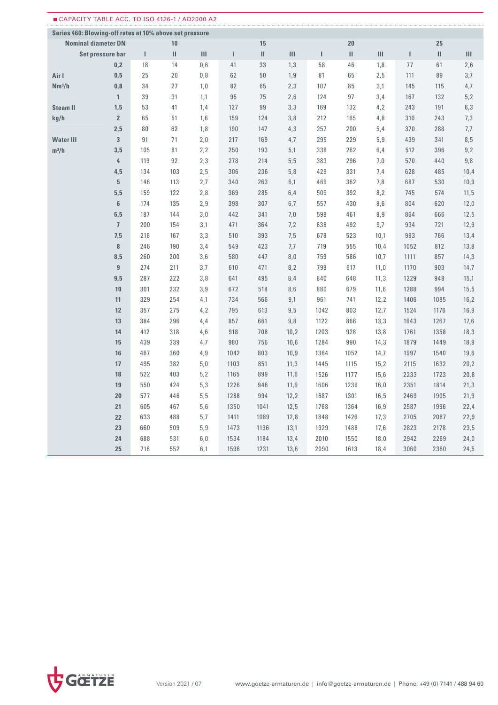|                                                         | CAPACITY TABLE ACC. TO ISO 4126-1 / AD2000 A2 |     |                                                                                                                                                                                                                                                                                                                                                                                                                                                        |                |      |      |      |      |              |      |      |      |      |
|---------------------------------------------------------|-----------------------------------------------|-----|--------------------------------------------------------------------------------------------------------------------------------------------------------------------------------------------------------------------------------------------------------------------------------------------------------------------------------------------------------------------------------------------------------------------------------------------------------|----------------|------|------|------|------|--------------|------|------|------|------|
| Series 460: Blowing-off rates at 10% above set pressure |                                               |     |                                                                                                                                                                                                                                                                                                                                                                                                                                                        |                |      |      |      |      |              |      |      |      |      |
| <b>Nominal diameter DN</b>                              |                                               |     | 10                                                                                                                                                                                                                                                                                                                                                                                                                                                     |                |      | 15   |      |      | 20           |      |      | 25   |      |
| Set pressure bar                                        |                                               | L   | $\mathbf{H}% =\mathbf{H}(\mathbf{Q}^{T}\times\mathbf{R}^{T}\times\mathbf{R}^{T}\times\mathbf{R}^{T}\times\mathbf{R}^{T}\times\mathbf{R}^{T}\times\mathbf{R}^{T}\times\mathbf{R}^{T}\times\mathbf{R}^{T}\times\mathbf{R}^{T}\times\mathbf{R}^{T}\times\mathbf{R}^{T}\times\mathbf{R}^{T}\times\mathbf{R}^{T}\times\mathbf{R}^{T}\times\mathbf{R}^{T}\times\mathbf{R}^{T}\times\mathbf{R}^{T}\times\mathbf{R}^{T}\times\mathbf{R}^{T}\times\mathbf{R}^{$ | $\mathbf{III}$ | L    | Ш    | III  | I    | $\mathbf{H}$ | III  | т    | Ш    | III  |
|                                                         | 0,2                                           | 18  | 14                                                                                                                                                                                                                                                                                                                                                                                                                                                     | 0,6            | 41   | 33   | 1,3  | 58   | 46           | 1,8  | 77   | 61   | 2,6  |
| Air I                                                   | 0,5                                           | 25  | 20                                                                                                                                                                                                                                                                                                                                                                                                                                                     | 0,8            | 62   | 50   | 1,9  | 81   | 65           | 2,5  | 111  | 89   | 3,7  |
| Nm <sup>3</sup> /h                                      | 0,8                                           | 34  | 27                                                                                                                                                                                                                                                                                                                                                                                                                                                     | 1,0            | 82   | 65   | 2,3  | 107  | 85           | 3,1  | 145  | 115  | 4,7  |
|                                                         | $\mathbf{1}$                                  | 39  | 31                                                                                                                                                                                                                                                                                                                                                                                                                                                     | 1,1            | 95   | 75   | 2,6  | 124  | 97           | 3,4  | 167  | 132  | 5,2  |
| <b>Steam II</b>                                         | 1,5                                           | 53  | 41                                                                                                                                                                                                                                                                                                                                                                                                                                                     | 1,4            | 127  | 99   | 3,3  | 169  | 132          | 4,2  | 243  | 191  | 6,3  |
| kg/h                                                    | $\overline{2}$                                | 65  | 51                                                                                                                                                                                                                                                                                                                                                                                                                                                     | 1,6            | 159  | 124  | 3,8  | 212  | 165          | 4,8  | 310  | 243  | 7,3  |
|                                                         | 2,5                                           | 80  | 62                                                                                                                                                                                                                                                                                                                                                                                                                                                     | 1,8            | 190  | 147  | 4,3  | 257  | 200          | 5,4  | 370  | 288  | 7,7  |
| <b>Water III</b>                                        | 3                                             | 91  | 71                                                                                                                                                                                                                                                                                                                                                                                                                                                     | 2,0            | 217  | 169  | 4,7  | 295  | 229          | 5,9  | 439  | 341  | 8,5  |
| $m^3/h$                                                 | 3,5                                           | 105 | 81                                                                                                                                                                                                                                                                                                                                                                                                                                                     | 2,2            | 250  | 193  | 5,1  | 338  | 262          | 6,4  | 512  | 396  | 9,2  |
|                                                         | 4                                             | 119 | 92                                                                                                                                                                                                                                                                                                                                                                                                                                                     | 2,3            | 278  | 214  | 5, 5 | 383  | 296          | 7,0  | 570  | 440  | 9,8  |
|                                                         | 4,5                                           | 134 | 103                                                                                                                                                                                                                                                                                                                                                                                                                                                    | 2,5            | 306  | 236  | 5,8  | 429  | 331          | 7,4  | 628  | 485  | 10,4 |
|                                                         | $\overline{5}$                                | 146 | 113                                                                                                                                                                                                                                                                                                                                                                                                                                                    | 2,7            | 340  | 263  | 6,1  | 469  | 362          | 7,8  | 687  | 530  | 10,9 |
|                                                         | 5,5                                           | 159 | 122                                                                                                                                                                                                                                                                                                                                                                                                                                                    | 2,8            | 369  | 285  | 6,4  | 509  | 392          | 8,2  | 745  | 574  | 11,5 |
|                                                         | $6\phantom{1}$                                | 174 | 135                                                                                                                                                                                                                                                                                                                                                                                                                                                    | 2,9            | 398  | 307  | 6,7  | 557  | 430          | 8,6  | 804  | 620  | 12,0 |
|                                                         | 6,5                                           | 187 | 144                                                                                                                                                                                                                                                                                                                                                                                                                                                    | 3,0            | 442  | 341  | 7,0  | 598  | 461          | 8,9  | 864  | 666  | 12,5 |
|                                                         | $\overline{1}$                                | 200 | 154                                                                                                                                                                                                                                                                                                                                                                                                                                                    | 3,1            | 471  | 364  | 7,2  | 638  | 492          | 9,7  | 934  | 721  | 12,9 |
|                                                         | 7,5                                           | 216 | 167                                                                                                                                                                                                                                                                                                                                                                                                                                                    | 3,3            | 510  | 393  | 7,5  | 678  | 523          | 10,1 | 993  | 766  | 13,4 |
|                                                         | $\bf{8}$                                      | 246 | 190                                                                                                                                                                                                                                                                                                                                                                                                                                                    | 3,4            | 549  | 423  | 7,7  | 719  | 555          | 10,4 | 1052 | 812  | 13,8 |
|                                                         | 8,5                                           | 260 | 200                                                                                                                                                                                                                                                                                                                                                                                                                                                    | 3,6            | 580  | 447  | 8,0  | 759  | 586          | 10,7 | 1111 | 857  | 14,3 |
|                                                         | $\overline{9}$                                | 274 | 211                                                                                                                                                                                                                                                                                                                                                                                                                                                    | 3,7            | 610  | 471  | 8,2  | 799  | 617          | 11,0 | 1170 | 903  | 14,7 |
|                                                         | 9,5                                           | 287 | 222                                                                                                                                                                                                                                                                                                                                                                                                                                                    | 3,8            | 641  | 495  | 8,4  | 840  | 648          | 11,3 | 1229 | 948  | 15,1 |
|                                                         | 10                                            | 301 | 232                                                                                                                                                                                                                                                                                                                                                                                                                                                    | 3,9            | 672  | 518  | 8,6  | 880  | 679          | 11,6 | 1288 | 994  | 15,5 |
|                                                         | 11                                            | 329 | 254                                                                                                                                                                                                                                                                                                                                                                                                                                                    | 4,1            | 734  | 566  | 9,1  | 961  | 741          | 12,2 | 1406 | 1085 | 16,2 |
|                                                         | 12                                            | 357 | 275                                                                                                                                                                                                                                                                                                                                                                                                                                                    | 4,2            | 795  | 613  | 9,5  | 1042 | 803          | 12,7 | 1524 | 1176 | 16,9 |
|                                                         | 13                                            | 384 | 296                                                                                                                                                                                                                                                                                                                                                                                                                                                    | 4,4            | 857  | 661  | 9,8  | 1122 | 866          | 13,3 | 1643 | 1267 | 17,6 |
|                                                         | 14                                            | 412 | 318                                                                                                                                                                                                                                                                                                                                                                                                                                                    | 4,6            | 918  | 708  | 10,2 | 1203 | 928          | 13,8 | 1761 | 1358 | 18,3 |
|                                                         | 15                                            | 439 | 339                                                                                                                                                                                                                                                                                                                                                                                                                                                    | 4,7            | 980  | 756  | 10,6 | 1284 | 990          | 14,3 | 1879 | 1449 | 18,9 |
|                                                         | 16                                            | 467 | 360                                                                                                                                                                                                                                                                                                                                                                                                                                                    | 4,9            | 1042 | 803  | 10,9 | 1364 | 1052         | 14,7 | 1997 | 1540 | 19,6 |
|                                                         | 17                                            | 495 | 382                                                                                                                                                                                                                                                                                                                                                                                                                                                    | 5,0            | 1103 | 851  | 11,3 | 1445 | 1115         | 15,2 | 2115 | 1632 | 20,2 |
|                                                         | 18                                            | 522 | 403                                                                                                                                                                                                                                                                                                                                                                                                                                                    | 5,2            | 1165 | 899  | 11,6 | 1526 | 1177         | 15,6 | 2233 | 1723 | 20,8 |
|                                                         | 19                                            | 550 | 424                                                                                                                                                                                                                                                                                                                                                                                                                                                    | 5,3            | 1226 | 946  | 11,9 | 1606 | 1239         | 16,0 | 2351 | 1814 | 21,3 |
|                                                         | 20                                            | 577 | 446                                                                                                                                                                                                                                                                                                                                                                                                                                                    | 5,5            | 1288 | 994  | 12,2 | 1687 | 1301         | 16,5 | 2469 | 1905 | 21,9 |
|                                                         | 21                                            | 605 | 467                                                                                                                                                                                                                                                                                                                                                                                                                                                    | $5,6$          | 1350 | 1041 | 12,5 | 1768 | 1364         | 16,9 | 2587 | 1996 | 22,4 |
|                                                         | 22                                            | 633 | 488                                                                                                                                                                                                                                                                                                                                                                                                                                                    | 5,7            | 1411 | 1089 | 12,8 | 1848 | 1426         | 17,3 | 2705 | 2087 | 22,9 |
|                                                         | 23                                            | 660 | 509                                                                                                                                                                                                                                                                                                                                                                                                                                                    | $5,9$          | 1473 | 1136 | 13,1 | 1929 | 1488         | 17,6 | 2823 | 2178 | 23,5 |
|                                                         | 24                                            | 688 | 531                                                                                                                                                                                                                                                                                                                                                                                                                                                    | 6,0            | 1534 | 1184 | 13,4 | 2010 | 1550         | 18,0 | 2942 | 2269 | 24,0 |
|                                                         | 25                                            | 716 | 552                                                                                                                                                                                                                                                                                                                                                                                                                                                    | 6,1            | 1596 | 1231 | 13,6 | 2090 | 1613         | 18,4 | 3060 | 2360 | 24,5 |